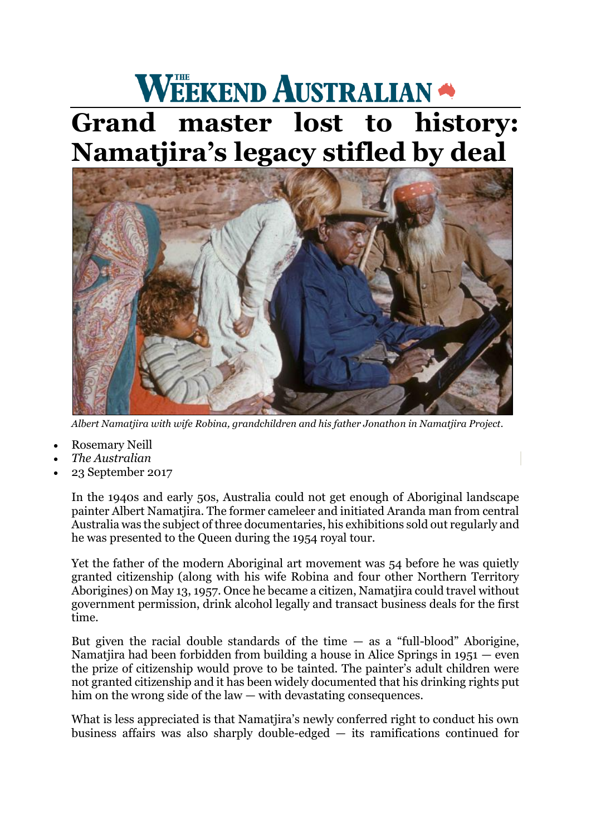## WEEKEND AUSTRALIAN **Grand master lost to history: Namatjira's legacy stifled by deal**



*Albert Namatjira with wife Robina, grandchildren and his father Jonathon in Namatjira Project.*

- Rosemary Neill
- *The Australian*
- 23 September 2017

In the 1940s and early 50s, Australia could not get enough of Aboriginal landscape painter Albert Namatjira. The former cameleer and initiated Aranda man from central Australia was the subject of three documentaries, his exhibitions sold out regularly and he was presented to the Queen during the 1954 royal tour.

Yet the father of the modern Aboriginal art movement was 54 before he was quietly granted citizenship (along with his wife Robina and four other Northern Territory Aborigines) on May 13, 1957. Once he became a citizen, Namatjira could travel without government permission, drink alcohol legally and transact business deals for the first time.

But given the racial double standards of the time  $-$  as a "full-blood" Aborigine, Namatjira had been forbidden from building a house in Alice Springs in 1951 — even the prize of citizenship would prove to be tainted. The painter's adult children were not granted citizenship and it has been widely documented that his drinking rights put him on the wrong side of the law — with devastating consequences.

What is less appreciated is that Namatjira's newly conferred right to conduct his own business affairs was also sharply double-edged — its ramifications continued for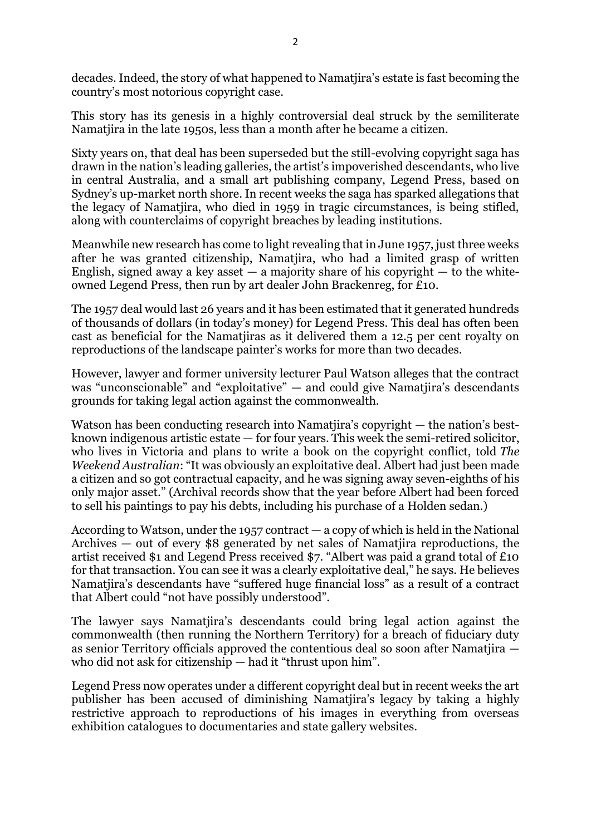decades. Indeed, the story of what happened to Namatjira's estate is fast becoming the country's most notorious copyright case.

This story has its genesis in a highly controversial deal struck by the semiliterate Namatjira in the late 1950s, less than a month after he became a citizen.

Sixty years on, that deal has been superseded but the still-evolving copyright saga has drawn in the nation's leading galleries, the artist's impoverished descendants, who live in central Australia, and a small art publishing company, Legend Press, based on Sydney's up-market north shore. In recent weeks the saga has sparked allegations that the legacy of Namatjira, who died in 1959 in tragic circumstances, is being stifled, along with counterclaims of copyright breaches by leading institutions.

Meanwhile new research has come to light revealing that in June 1957, just three weeks after he was granted citizenship, Namatjira, who had a limited grasp of written English, signed away a key asset  $-$  a majority share of his copyright  $-$  to the whiteowned Legend Press, then run by art dealer John Brackenreg, for £10.

The 1957 deal would last 26 years and it has been estimated that it generated hundreds of thousands of dollars (in today's money) for Legend Press. This deal has often been cast as beneficial for the Namatjiras as it delivered them a 12.5 per cent royalty on reproductions of the landscape painter's works for more than two decades.

However, lawyer and former university lecturer Paul Watson alleges that the contract was "unconscionable" and "exploitative" — and could give Namatiira's descendants grounds for taking legal action against the commonwealth.

Watson has been conducting research into Namatjira's copyright — the nation's bestknown indigenous artistic estate — for four years. This week the semi-retired solicitor, who lives in Victoria and plans to write a book on the copyright conflict, told *The Weekend Australian*: "It was obviously an exploitative deal. Albert had just been made a citizen and so got contractual capacity, and he was signing away seven-eighths of his only major asset." (Archival records show that the year before Albert had been forced to sell his paintings to pay his debts, including his purchase of a Holden sedan.)

According to Watson, under the 1957 contract — a copy of which is held in the National Archives — out of every \$8 generated by net sales of Namatjira reproductions, the artist received \$1 and Legend Press received \$7. "Albert was paid a grand total of £10 for that transaction. You can see it was a clearly exploitative deal," he says. He believes Namatjira's descendants have "suffered huge financial loss" as a result of a contract that Albert could "not have possibly understood".

The lawyer says Namatjira's descendants could bring legal action against the commonwealth (then running the Northern Territory) for a breach of fiduciary duty as senior Territory officials approved the contentious deal so soon after Namatjira who did not ask for citizenship — had it "thrust upon him".

Legend Press now operates under a different copyright deal but in recent weeks the art publisher has been accused of diminishing Namatjira's legacy by taking a highly restrictive approach to reproductions of his images in everything from overseas exhibition catalogues to documentaries and state gallery websites.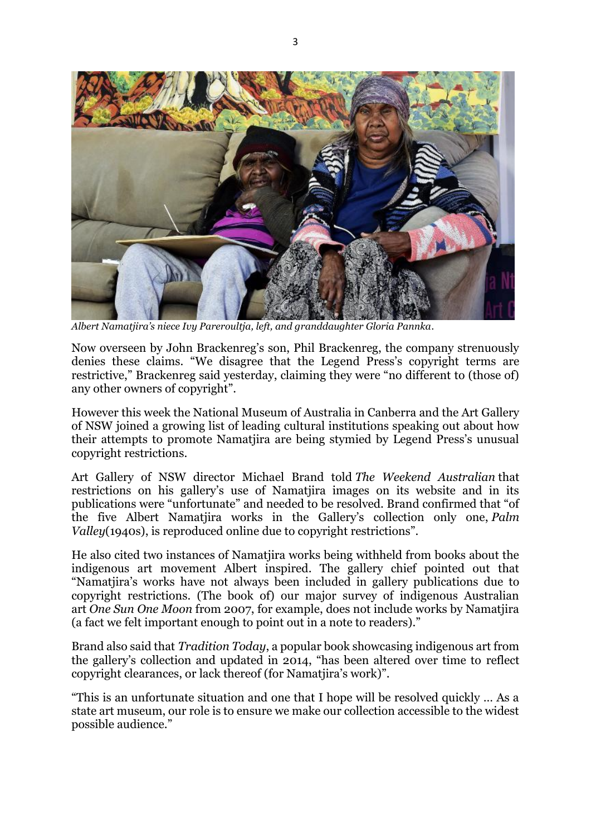

*Albert Namatjira's niece Ivy Pareroultja, left, and granddaughter Gloria Pannka.*

Now overseen by John Brackenreg's son, Phil Brackenreg, the company strenuously denies these claims. "We disagree that the Legend Press's copyright terms are restrictive," Brackenreg said yesterday, claiming they were "no different to (those of) any other owners of copyright".

However this week the National Museum of Australia in Canberra and the Art Gallery of NSW joined a growing list of leading cultural institutions speaking out about how their attempts to promote Namatjira are being stymied by Legend Press's unusual copyright restrictions.

Art Gallery of NSW director Michael Brand told *The Weekend Australian* that restrictions on his gallery's use of Namatjira images on its website and in its publications were "unfortunate" and needed to be resolved. Brand confirmed that "of the five Albert Namatjira works in the Gallery's collection only one, *Palm Valley*(1940s), is reproduced online due to copyright restrictions".

He also cited two instances of Namatjira works being withheld from books about the indigenous art movement Albert inspired. The gallery chief pointed out that "Namatiira's works have not always been included in gallery publications due to copyright restrictions. (The book of) our major survey of indigenous Australian art *One Sun One Moon* from 2007, for example, does not include works by Namatjira (a fact we felt important enough to point out in a note to readers)."

Brand also said that *Tradition Today*, a popular book showcasing indigenous art from the gallery's collection and updated in 2014, "has been altered over time to reflect copyright clearances, or lack thereof (for Namatjira's work)".

"This is an unfortunate situation and one that I hope will be resolved quickly … As a state art museum, our role is to ensure we make our collection accessible to the widest possible audience."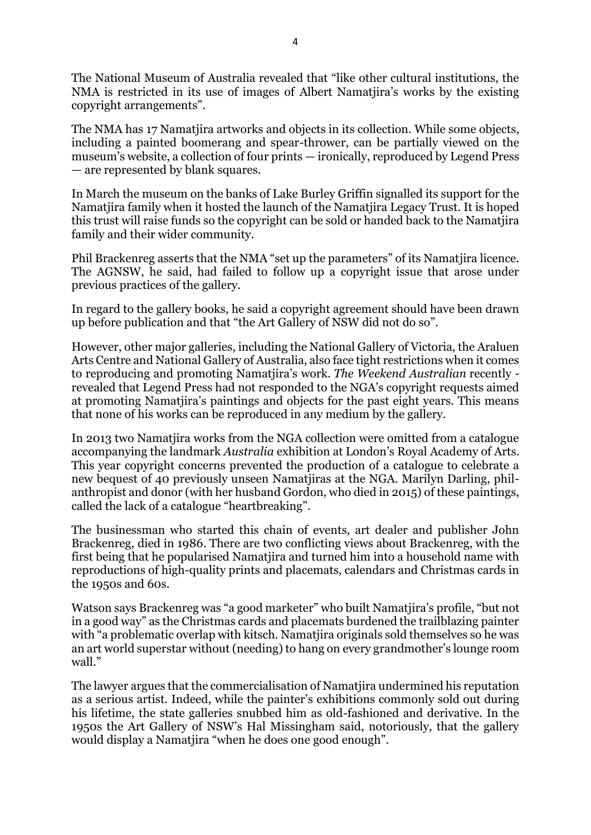The National Museum of Australia revealed that "like other cultural institutions, the NMA is restricted in its use of images of Albert Namatjira's works by the existing copyright arrangements".

The NMA has 17 Namatiira artworks and objects in its collection. While some objects, including a painted boomerang and spear-thrower, can be partially viewed on the museum's website, a collection of four prints — ironically, reproduced by Legend Press — are represented by blank squares.

In March the museum on the banks of Lake Burley Griffin signalled its support for the Namatjira family when it hosted the launch of the Namatjira Legacy Trust. It is hoped this trust will raise funds so the copyright can be sold or handed back to the Namatjira family and their wider community.

Phil Brackenreg asserts that the NMA "set up the parameters" of its Namatjira licence. The AGNSW, he said, had failed to follow up a copyright issue that arose under previous practices of the gallery.

In regard to the gallery books, he said a copyright agreement should have been drawn up before publication and that "the Art Gallery of NSW did not do so".

However, other major galleries, including the National Gallery of Victoria, the Araluen Arts Centre and National Gallery of Australia, also face tight restrictions when it comes to reproducing and promoting Namatjira's work. *The Weekend Australian* recently revealed that Legend Press had not responded to the NGA's copyright requests aimed at promoting Namatjira's paintings and objects for the past eight years. This means that none of his works can be reproduced in any medium by the gallery.

In 2013 two Namatjira works from the NGA collection were omitted from a catalogue accompanying the landmark *Australia* exhibition at London's Royal Academy of Arts. This year copyright concerns prevented the production of a catalogue to celebrate a new bequest of 40 previously unseen Namatjiras at the NGA. Marilyn Darling, philanthropist and donor (with her husband Gordon, who died in 2015) of these paintings, called the lack of a catalogue "heartbreaking".

The businessman who started this chain of events, art dealer and publisher John Brackenreg, died in 1986. There are two conflicting views about Brackenreg, with the first being that he popularised Namatjira and turned him into a household name with reproductions of high-quality prints and placemats, calendars and Christmas cards in the 1950s and 60s.

Watson says Brackenreg was "a good marketer" who built Namatjira's profile, "but not in a good way" as the Christmas cards and placemats burdened the trailblazing painter with "a problematic overlap with kitsch. Namatiira originals sold themselves so he was an art world superstar without (needing) to hang on every grandmother's lounge room wall."

The lawyer argues that the commercialisation of Namatjira undermined his reputation as a serious artist. Indeed, while the painter's exhibitions commonly sold out during his lifetime, the state galleries snubbed him as old-fashioned and derivative. In the 1950s the Art Gallery of NSW's Hal Missingham said, notoriously, that the gallery would display a Namatjira "when he does one good enough".